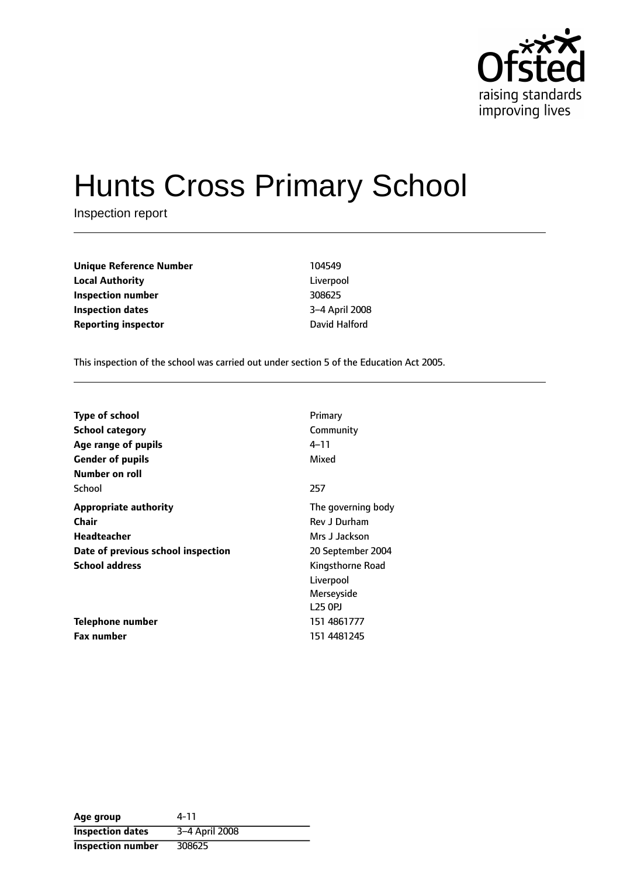

# Hunts Cross Primary School

Inspection report

| <b>Unique Reference Number</b> | 104549         |
|--------------------------------|----------------|
| <b>Local Authority</b>         | Liverpool      |
| Inspection number              | 308625         |
| <b>Inspection dates</b>        | 3-4 April 2008 |
| <b>Reporting inspector</b>     | David Halford  |

Liverpool **Inspection number** 308625 **Inspection dates** 34 April 2008

This inspection of the school was carried out under section 5 of the Education Act 2005.

| <b>Type of school</b>              | Primary             |
|------------------------------------|---------------------|
| <b>School category</b>             | Community           |
| Age range of pupils                | 4–11                |
| <b>Gender of pupils</b>            | Mixed               |
| Number on roll                     |                     |
| School                             | 257                 |
| <b>Appropriate authority</b>       | The governing body  |
| <b>Chair</b>                       | Rev J Durham        |
| Headteacher                        | Mrs J Jackson       |
| Date of previous school inspection | 20 September 2004   |
| <b>School address</b>              | Kingsthorne Road    |
|                                    | Liverpool           |
|                                    | Merseyside          |
|                                    | L <sub>25</sub> OPJ |
| Telephone number                   | 151 4861777         |
| <b>Fax number</b>                  | 151 4481245         |

| Age group                | 4-11           |
|--------------------------|----------------|
| <b>Inspection dates</b>  | 3-4 April 2008 |
| <b>Inspection number</b> | 308625         |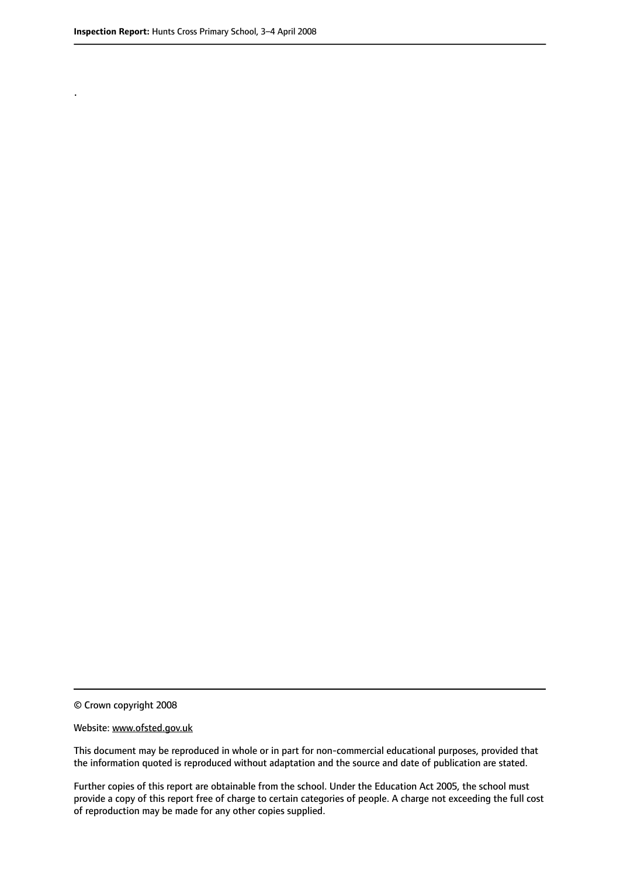.

#### Website: www.ofsted.gov.uk

This document may be reproduced in whole or in part for non-commercial educational purposes, provided that the information quoted is reproduced without adaptation and the source and date of publication are stated.

Further copies of this report are obtainable from the school. Under the Education Act 2005, the school must provide a copy of this report free of charge to certain categories of people. A charge not exceeding the full cost of reproduction may be made for any other copies supplied.

<sup>©</sup> Crown copyright 2008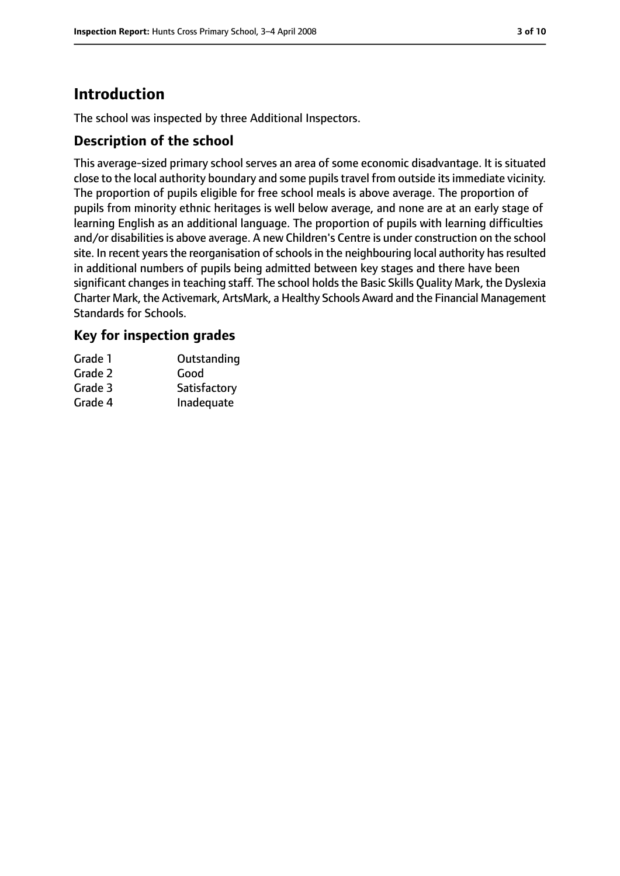# **Introduction**

The school was inspected by three Additional Inspectors.

## **Description of the school**

This average-sized primary school serves an area of some economic disadvantage. It is situated close to the local authority boundary and some pupilstravel from outside itsimmediate vicinity. The proportion of pupils eligible for free school meals is above average. The proportion of pupils from minority ethnic heritages is well below average, and none are at an early stage of learning English as an additional language. The proportion of pupils with learning difficulties and/or disabilities is above average. A new Children's Centre is under construction on the school site. In recent years the reorganisation of schools in the neighbouring local authority has resulted in additional numbers of pupils being admitted between key stages and there have been significant changes in teaching staff. The school holds the Basic Skills Quality Mark, the Dyslexia Charter Mark, the Activemark, ArtsMark, a Healthy Schools Award and the Financial Management Standards for Schools.

## **Key for inspection grades**

| Grade 1 | Outstanding  |
|---------|--------------|
| Grade 2 | Good         |
| Grade 3 | Satisfactory |
| Grade 4 | Inadequate   |
|         |              |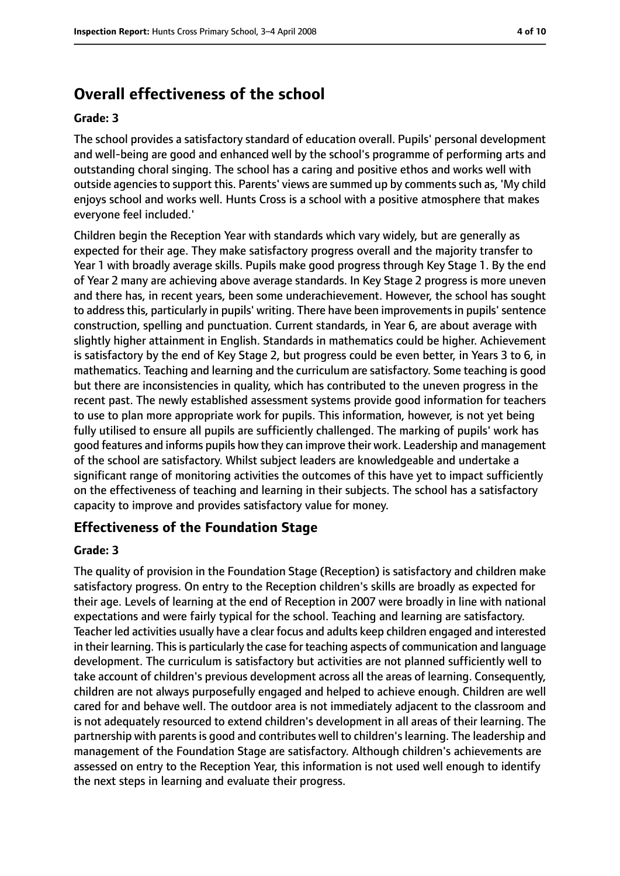# **Overall effectiveness of the school**

#### **Grade: 3**

The school provides a satisfactory standard of education overall. Pupils' personal development and well-being are good and enhanced well by the school's programme of performing arts and outstanding choral singing. The school has a caring and positive ethos and works well with outside agencies to support this. Parents' views are summed up by comments such as, 'My child enjoys school and works well. Hunts Cross is a school with a positive atmosphere that makes everyone feel included.'

Children begin the Reception Year with standards which vary widely, but are generally as expected for their age. They make satisfactory progress overall and the majority transfer to Year 1 with broadly average skills. Pupils make good progress through Key Stage 1. By the end of Year 2 many are achieving above average standards. In Key Stage 2 progress is more uneven and there has, in recent years, been some underachievement. However, the school has sought to address this, particularly in pupils' writing. There have been improvements in pupils' sentence construction, spelling and punctuation. Current standards, in Year 6, are about average with slightly higher attainment in English. Standards in mathematics could be higher. Achievement is satisfactory by the end of Key Stage 2, but progress could be even better, in Years 3 to 6, in mathematics. Teaching and learning and the curriculum are satisfactory. Some teaching is good but there are inconsistencies in quality, which has contributed to the uneven progress in the recent past. The newly established assessment systems provide good information for teachers to use to plan more appropriate work for pupils. This information, however, is not yet being fully utilised to ensure all pupils are sufficiently challenged. The marking of pupils' work has good features and informs pupils how they can improve their work. Leadership and management of the school are satisfactory. Whilst subject leaders are knowledgeable and undertake a significant range of monitoring activities the outcomes of this have yet to impact sufficiently on the effectiveness of teaching and learning in their subjects. The school has a satisfactory capacity to improve and provides satisfactory value for money.

#### **Effectiveness of the Foundation Stage**

#### **Grade: 3**

The quality of provision in the Foundation Stage (Reception) is satisfactory and children make satisfactory progress. On entry to the Reception children's skills are broadly as expected for their age. Levels of learning at the end of Reception in 2007 were broadly in line with national expectations and were fairly typical for the school. Teaching and learning are satisfactory. Teacher led activities usually have a clear focus and adults keep children engaged and interested in their learning. This is particularly the case for teaching aspects of communication and language development. The curriculum is satisfactory but activities are not planned sufficiently well to take account of children's previous development across all the areas of learning. Consequently, children are not always purposefully engaged and helped to achieve enough. Children are well cared for and behave well. The outdoor area is not immediately adjacent to the classroom and is not adequately resourced to extend children's development in all areas of their learning. The partnership with parents is good and contributes well to children's learning. The leadership and management of the Foundation Stage are satisfactory. Although children's achievements are assessed on entry to the Reception Year, this information is not used well enough to identify the next steps in learning and evaluate their progress.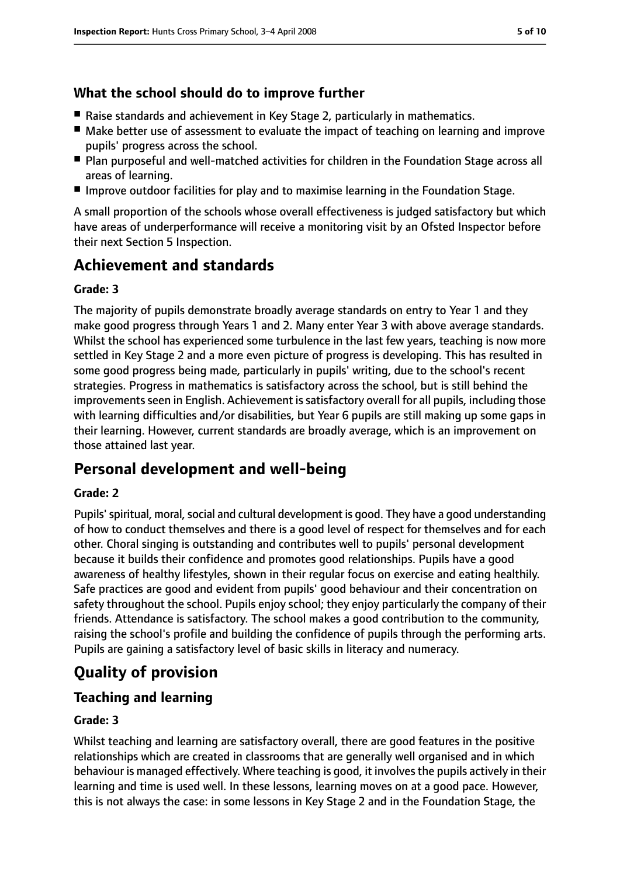## **What the school should do to improve further**

- Raise standards and achievement in Key Stage 2, particularly in mathematics.
- Make better use of assessment to evaluate the impact of teaching on learning and improve pupils' progress across the school.
- Plan purposeful and well-matched activities for children in the Foundation Stage across all areas of learning.
- Improve outdoor facilities for play and to maximise learning in the Foundation Stage.

A small proportion of the schools whose overall effectiveness is judged satisfactory but which have areas of underperformance will receive a monitoring visit by an Ofsted Inspector before their next Section 5 Inspection.

# **Achievement and standards**

#### **Grade: 3**

The majority of pupils demonstrate broadly average standards on entry to Year 1 and they make good progress through Years 1 and 2. Many enter Year 3 with above average standards. Whilst the school has experienced some turbulence in the last few years, teaching is now more settled in Key Stage 2 and a more even picture of progress is developing. This has resulted in some good progress being made, particularly in pupils' writing, due to the school's recent strategies. Progress in mathematics is satisfactory across the school, but is still behind the improvements seen in English. Achievement is satisfactory overall for all pupils, including those with learning difficulties and/or disabilities, but Year 6 pupils are still making up some gaps in their learning. However, current standards are broadly average, which is an improvement on those attained last year.

# **Personal development and well-being**

#### **Grade: 2**

Pupils' spiritual, moral, social and cultural development is good. They have a good understanding of how to conduct themselves and there is a good level of respect for themselves and for each other. Choral singing is outstanding and contributes well to pupils' personal development because it builds their confidence and promotes good relationships. Pupils have a good awareness of healthy lifestyles, shown in their regular focus on exercise and eating healthily. Safe practices are good and evident from pupils' good behaviour and their concentration on safety throughout the school. Pupils enjoy school; they enjoy particularly the company of their friends. Attendance is satisfactory. The school makes a good contribution to the community, raising the school's profile and building the confidence of pupils through the performing arts. Pupils are gaining a satisfactory level of basic skills in literacy and numeracy.

# **Quality of provision**

## **Teaching and learning**

#### **Grade: 3**

Whilst teaching and learning are satisfactory overall, there are good features in the positive relationships which are created in classrooms that are generally well organised and in which behaviour is managed effectively. Where teaching is good, it involves the pupils actively in their learning and time is used well. In these lessons, learning moves on at a good pace. However, this is not always the case: in some lessons in Key Stage 2 and in the Foundation Stage, the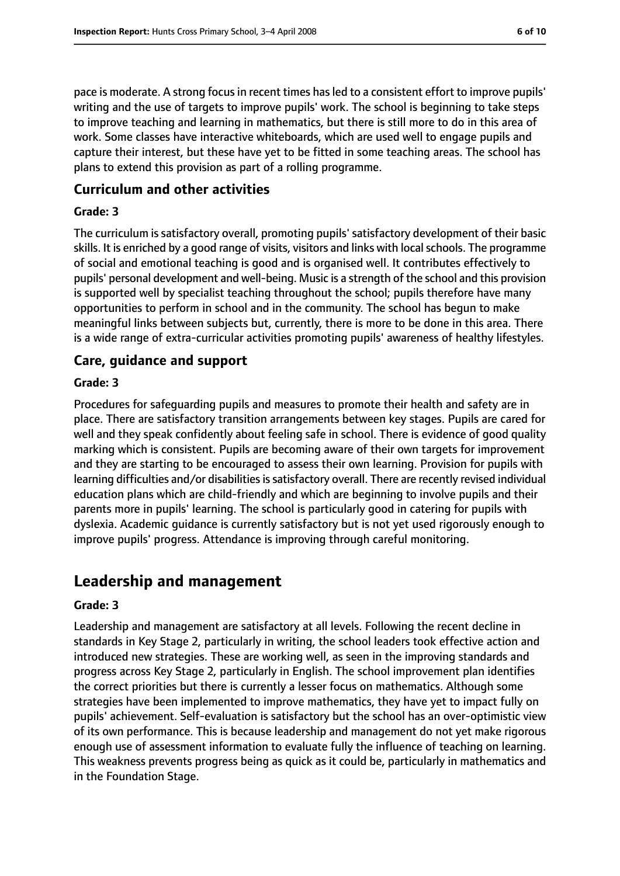pace is moderate. A strong focusin recent times hasled to a consistent effort to improve pupils' writing and the use of targets to improve pupils' work. The school is beginning to take steps to improve teaching and learning in mathematics, but there is still more to do in this area of work. Some classes have interactive whiteboards, which are used well to engage pupils and capture their interest, but these have yet to be fitted in some teaching areas. The school has plans to extend this provision as part of a rolling programme.

#### **Curriculum and other activities**

#### **Grade: 3**

The curriculum is satisfactory overall, promoting pupils' satisfactory development of their basic skills. It is enriched by a good range of visits, visitors and links with local schools. The programme of social and emotional teaching is good and is organised well. It contributes effectively to pupils' personal development and well-being. Music is a strength of the school and this provision is supported well by specialist teaching throughout the school; pupils therefore have many opportunities to perform in school and in the community. The school has begun to make meaningful links between subjects but, currently, there is more to be done in this area. There is a wide range of extra-curricular activities promoting pupils' awareness of healthy lifestyles.

#### **Care, guidance and support**

#### **Grade: 3**

Procedures for safeguarding pupils and measures to promote their health and safety are in place. There are satisfactory transition arrangements between key stages. Pupils are cared for well and they speak confidently about feeling safe in school. There is evidence of good quality marking which is consistent. Pupils are becoming aware of their own targets for improvement and they are starting to be encouraged to assess their own learning. Provision for pupils with learning difficulties and/or disabilities is satisfactory overall. There are recently revised individual education plans which are child-friendly and which are beginning to involve pupils and their parents more in pupils' learning. The school is particularly good in catering for pupils with dyslexia. Academic guidance is currently satisfactory but is not yet used rigorously enough to improve pupils' progress. Attendance is improving through careful monitoring.

## **Leadership and management**

#### **Grade: 3**

Leadership and management are satisfactory at all levels. Following the recent decline in standards in Key Stage 2, particularly in writing, the school leaders took effective action and introduced new strategies. These are working well, as seen in the improving standards and progress across Key Stage 2, particularly in English. The school improvement plan identifies the correct priorities but there is currently a lesser focus on mathematics. Although some strategies have been implemented to improve mathematics, they have yet to impact fully on pupils' achievement. Self-evaluation is satisfactory but the school has an over-optimistic view of its own performance. This is because leadership and management do not yet make rigorous enough use of assessment information to evaluate fully the influence of teaching on learning. This weakness prevents progress being as quick as it could be, particularly in mathematics and in the Foundation Stage.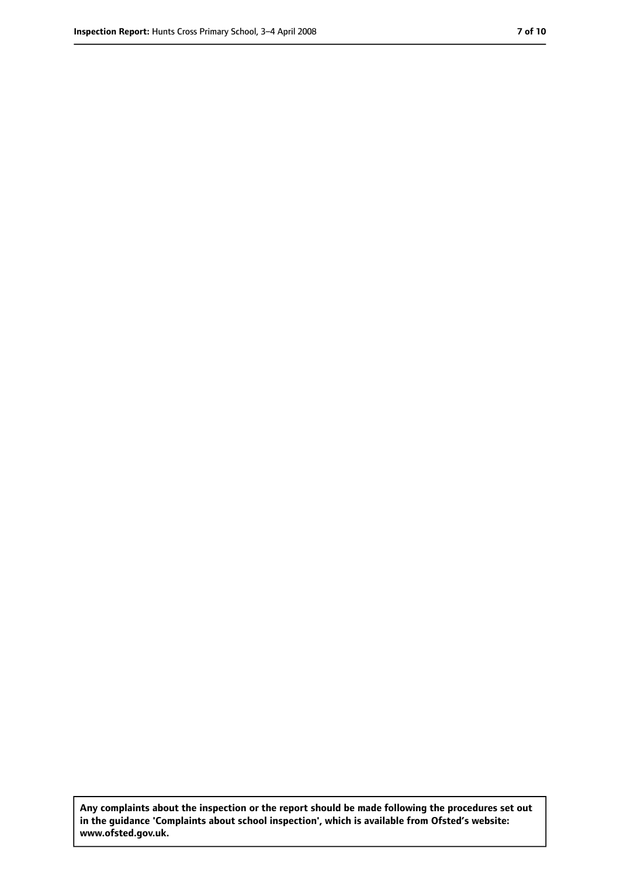**Any complaints about the inspection or the report should be made following the procedures set out in the guidance 'Complaints about school inspection', which is available from Ofsted's website: www.ofsted.gov.uk.**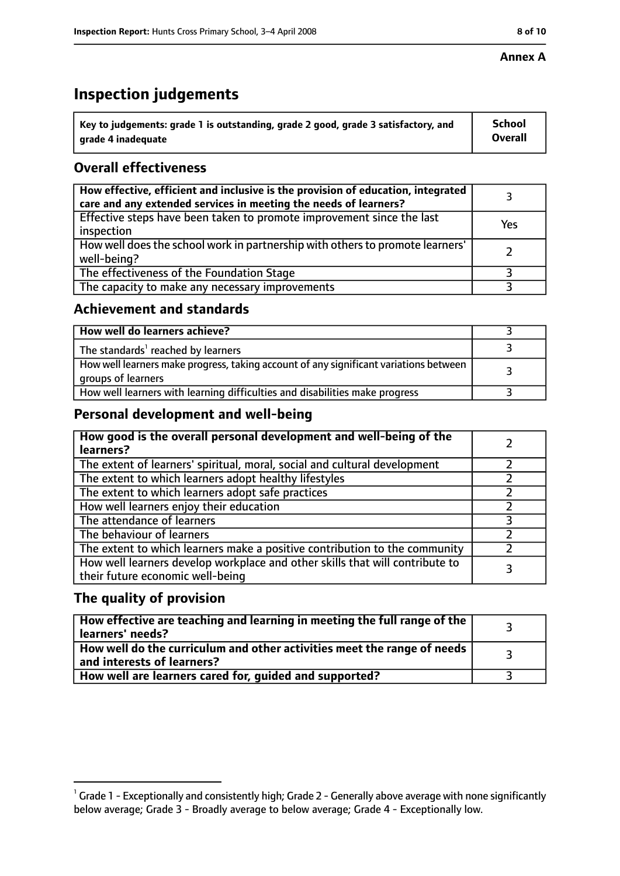#### **Annex A**

# **Inspection judgements**

| $^{\backprime}$ Key to judgements: grade 1 is outstanding, grade 2 good, grade 3 satisfactory, and | <b>School</b>  |
|----------------------------------------------------------------------------------------------------|----------------|
| arade 4 inadequate                                                                                 | <b>Overall</b> |

## **Overall effectiveness**

| How effective, efficient and inclusive is the provision of education, integrated<br>care and any extended services in meeting the needs of learners? |     |
|------------------------------------------------------------------------------------------------------------------------------------------------------|-----|
| Effective steps have been taken to promote improvement since the last<br>inspection                                                                  | Yes |
| How well does the school work in partnership with others to promote learners'<br>well-being?                                                         |     |
| The effectiveness of the Foundation Stage                                                                                                            |     |
| The capacity to make any necessary improvements                                                                                                      |     |

## **Achievement and standards**

| How well do learners achieve?                                                                               |  |
|-------------------------------------------------------------------------------------------------------------|--|
| The standards <sup>1</sup> reached by learners                                                              |  |
| How well learners make progress, taking account of any significant variations between<br>groups of learners |  |
| How well learners with learning difficulties and disabilities make progress                                 |  |

## **Personal development and well-being**

| How good is the overall personal development and well-being of the<br>learners?                                  |  |
|------------------------------------------------------------------------------------------------------------------|--|
| The extent of learners' spiritual, moral, social and cultural development                                        |  |
| The extent to which learners adopt healthy lifestyles                                                            |  |
| The extent to which learners adopt safe practices                                                                |  |
| How well learners enjoy their education                                                                          |  |
| The attendance of learners                                                                                       |  |
| The behaviour of learners                                                                                        |  |
| The extent to which learners make a positive contribution to the community                                       |  |
| How well learners develop workplace and other skills that will contribute to<br>their future economic well-being |  |

## **The quality of provision**

| How effective are teaching and learning in meeting the full range of the<br>learners' needs?          |  |
|-------------------------------------------------------------------------------------------------------|--|
| How well do the curriculum and other activities meet the range of needs<br>and interests of learners? |  |
| How well are learners cared for, quided and supported?                                                |  |

 $^1$  Grade 1 - Exceptionally and consistently high; Grade 2 - Generally above average with none significantly below average; Grade 3 - Broadly average to below average; Grade 4 - Exceptionally low.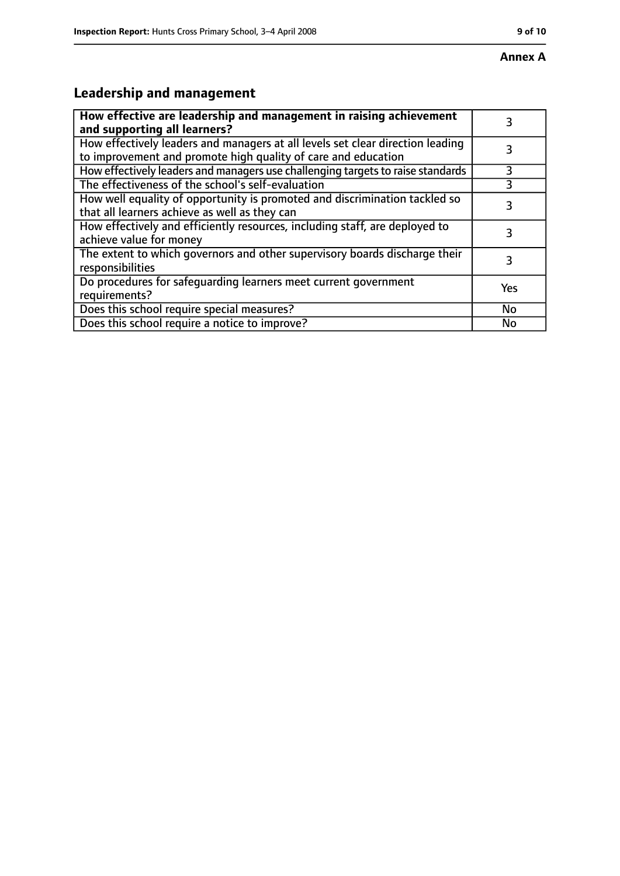# **Annex A**

# **Leadership and management**

| How effective are leadership and management in raising achievement<br>and supporting all learners?                                              |     |
|-------------------------------------------------------------------------------------------------------------------------------------------------|-----|
| How effectively leaders and managers at all levels set clear direction leading<br>to improvement and promote high quality of care and education |     |
| How effectively leaders and managers use challenging targets to raise standards                                                                 | 3   |
| The effectiveness of the school's self-evaluation                                                                                               | 3   |
| How well equality of opportunity is promoted and discrimination tackled so<br>that all learners achieve as well as they can                     | 3   |
| How effectively and efficiently resources, including staff, are deployed to<br>achieve value for money                                          | 3   |
| The extent to which governors and other supervisory boards discharge their<br>responsibilities                                                  | 3   |
| Do procedures for safequarding learners meet current government<br>requirements?                                                                | Yes |
| Does this school require special measures?                                                                                                      | No  |
| Does this school require a notice to improve?                                                                                                   | No  |